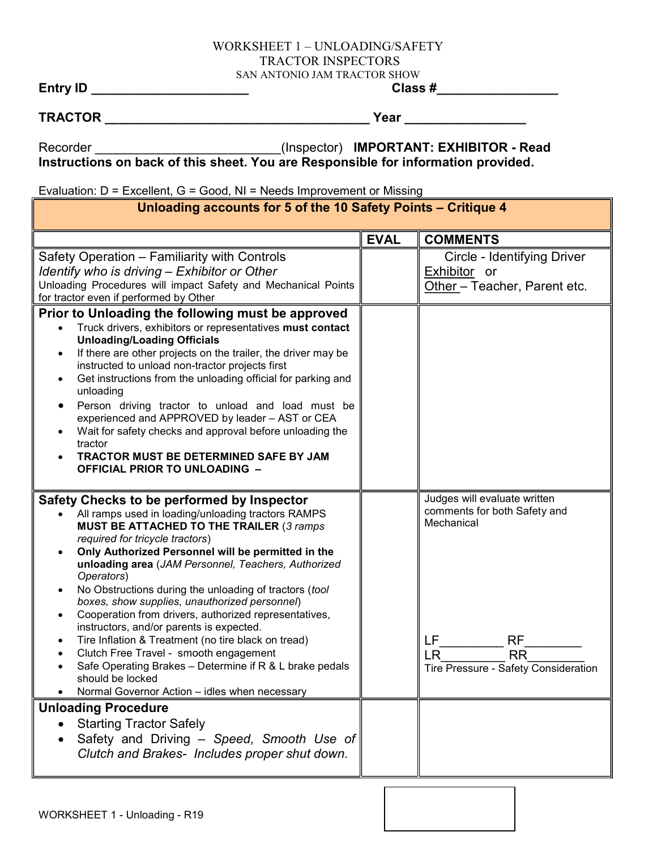## WORKSHEET 1 – UNLOADING/SAFETY TRACTOR INSPECTORS SAN ANTONIO JAM TRACTOR SHOW<br> **Class #**

Entry ID \_\_\_\_\_\_\_\_\_\_\_\_\_\_\_\_\_\_\_\_\_\_ Class #\_\_\_\_\_\_\_\_\_\_\_\_\_\_\_\_\_

TRACTOR \_\_\_\_\_\_\_\_\_\_\_\_\_\_\_\_\_\_\_\_\_\_\_\_\_\_\_\_\_\_\_\_\_\_\_\_\_ Year \_\_\_\_\_\_\_\_\_\_\_\_\_\_\_\_\_

Recorder \_\_\_\_\_\_\_\_\_\_\_\_\_\_\_\_\_\_\_\_\_\_\_\_\_\_\_(Inspector) IMPORTANT: EXHIBITOR - Read

Instructions on back of this sheet. You are Responsible for information provided.

Evaluation: D = Excellent, G = Good, NI = Needs Improvement or Missing

| Unloading accounts for 5 of the 10 Safety Points – Critique 4                                                                                                                                                                                                                                                                                                                                                                                                                                                                                                                                                                                                                                                                                                                                                   |             |                                                                                                                                                                 |
|-----------------------------------------------------------------------------------------------------------------------------------------------------------------------------------------------------------------------------------------------------------------------------------------------------------------------------------------------------------------------------------------------------------------------------------------------------------------------------------------------------------------------------------------------------------------------------------------------------------------------------------------------------------------------------------------------------------------------------------------------------------------------------------------------------------------|-------------|-----------------------------------------------------------------------------------------------------------------------------------------------------------------|
|                                                                                                                                                                                                                                                                                                                                                                                                                                                                                                                                                                                                                                                                                                                                                                                                                 | <b>EVAL</b> | <b>COMMENTS</b>                                                                                                                                                 |
| Safety Operation - Familiarity with Controls<br>Identify who is driving – Exhibitor or Other<br>Unloading Procedures will impact Safety and Mechanical Points<br>for tractor even if performed by Other                                                                                                                                                                                                                                                                                                                                                                                                                                                                                                                                                                                                         |             | Circle - Identifying Driver<br>Exhibitor or<br>Other - Teacher, Parent etc.                                                                                     |
| Prior to Unloading the following must be approved<br>Truck drivers, exhibitors or representatives must contact<br>$\bullet$<br><b>Unloading/Loading Officials</b><br>If there are other projects on the trailer, the driver may be<br>$\bullet$<br>instructed to unload non-tractor projects first<br>Get instructions from the unloading official for parking and<br>$\bullet$<br>unloading<br>Person driving tractor to unload and load must be<br>$\bullet$<br>experienced and APPROVED by leader - AST or CEA<br>Wait for safety checks and approval before unloading the<br>tractor<br>TRACTOR MUST BE DETERMINED SAFE BY JAM<br><b>OFFICIAL PRIOR TO UNLOADING -</b>                                                                                                                                      |             |                                                                                                                                                                 |
| Safety Checks to be performed by Inspector<br>All ramps used in loading/unloading tractors RAMPS<br>MUST BE ATTACHED TO THE TRAILER (3 ramps<br>required for tricycle tractors)<br>Only Authorized Personnel will be permitted in the<br>$\bullet$<br>unloading area (JAM Personnel, Teachers, Authorized<br>Operators)<br>No Obstructions during the unloading of tractors (tool<br>$\bullet$<br>boxes, show supplies, unauthorized personnel)<br>Cooperation from drivers, authorized representatives,<br>$\bullet$<br>instructors, and/or parents is expected.<br>Tire Inflation & Treatment (no tire black on tread)<br>$\bullet$<br>Clutch Free Travel - smooth engagement<br>Safe Operating Brakes - Determine if R & L brake pedals<br>should be locked<br>Normal Governor Action - idles when necessary |             | Judges will evaluate written<br>comments for both Safety and<br>Mechanical<br><b>RF</b><br>LF<br><b>RR</b><br><b>LR</b><br>Tire Pressure - Safety Consideration |
| <b>Unloading Procedure</b><br><b>Starting Tractor Safely</b><br>Safety and Driving - Speed, Smooth Use of<br>Clutch and Brakes- Includes proper shut down.                                                                                                                                                                                                                                                                                                                                                                                                                                                                                                                                                                                                                                                      |             |                                                                                                                                                                 |